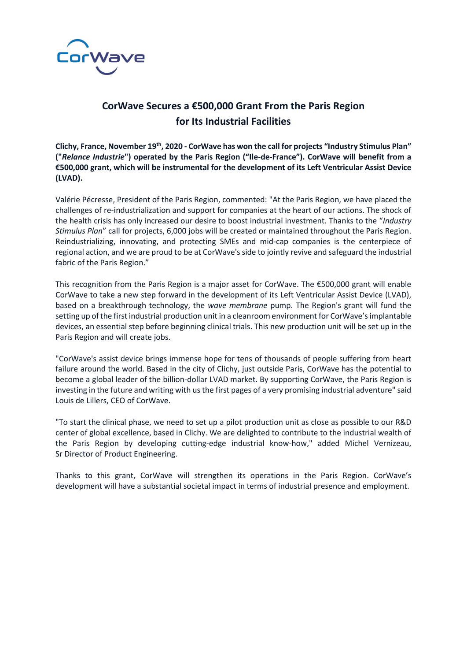

## **CorWave Secures a €500,000 Grant From the Paris Region for Its Industrial Facilities**

Clichy, France, November 19<sup>th</sup>, 2020 - CorWave has won the call for projects "Industry Stimulus Plan" **("***Relance Industrie***") operated by the Paris Region ("Ile-de-France"). CorWave will benefit from a €500,000 grant, which will be instrumental for the development of its Left Ventricular Assist Device (LVAD).**

Valérie Pécresse, President of the Paris Region, commented: "At the Paris Region, we have placed the challenges of re-industrialization and support for companies at the heart of our actions. The shock of the health crisis has only increased our desire to boost industrial investment. Thanks to the "*Industry Stimulus Plan*" call for projects, 6,000 jobs will be created or maintained throughout the Paris Region. Reindustrializing, innovating, and protecting SMEs and mid-cap companies is the centerpiece of regional action, and we are proud to be at CorWave's side to jointly revive and safeguard the industrial fabric of the Paris Region."

This recognition from the Paris Region is a major asset for CorWave. The €500,000 grant will enable CorWave to take a new step forward in the development of its Left Ventricular Assist Device (LVAD), based on a breakthrough technology, the *wave membrane* pump. The Region's grant will fund the setting up of the first industrial production unit in a cleanroom environment for CorWave's implantable devices, an essential step before beginning clinical trials. This new production unit will be set up in the Paris Region and will create jobs.

"CorWave's assist device brings immense hope for tens of thousands of people suffering from heart failure around the world. Based in the city of Clichy, just outside Paris, CorWave has the potential to become a global leader of the billion-dollar LVAD market. By supporting CorWave, the Paris Region is investing in the future and writing with us the first pages of a very promising industrial adventure" said Louis de Lillers, CEO of CorWave.

"To start the clinical phase, we need to set up a pilot production unit as close as possible to our R&D center of global excellence, based in Clichy. We are delighted to contribute to the industrial wealth of the Paris Region by developing cutting-edge industrial know-how," added Michel Vernizeau, Sr Director of Product Engineering.

Thanks to this grant, CorWave will strengthen its operations in the Paris Region. CorWave's development will have a substantial societal impact in terms of industrial presence and employment.